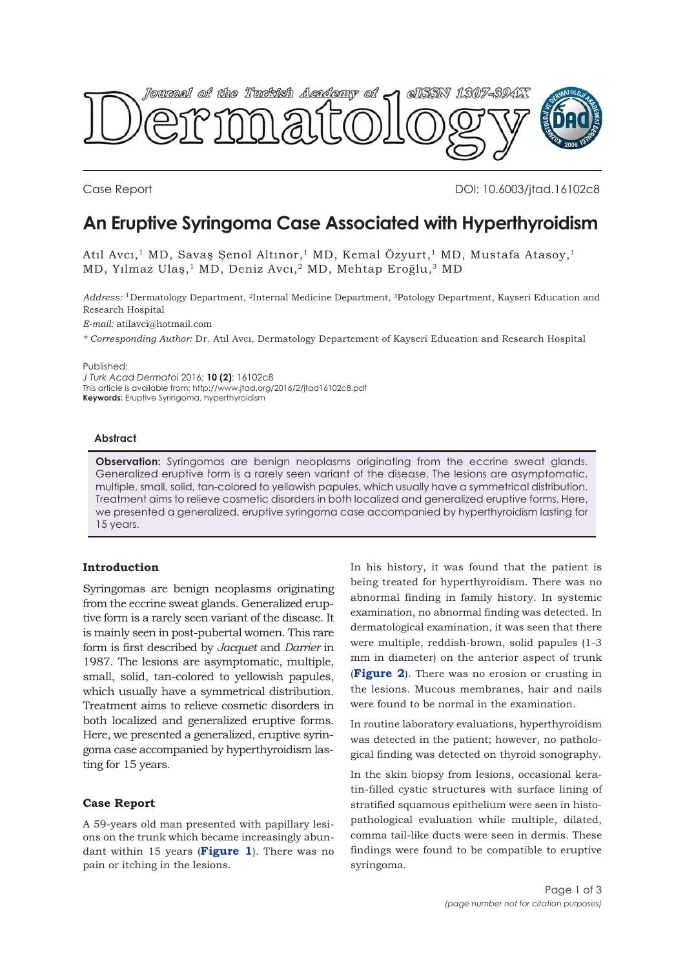

Case Report DOI: 10.6003/jtad.16102c8

# **An Eruptive Syringoma Case Associated with Hyperthyroidism**

Atıl Avcı,<sup>1</sup> MD, Savaş Şenol Altınor,<sup>1</sup> MD, Kemal Özyurt,<sup>1</sup> MD, Mustafa Atasoy,<sup>1</sup> MD, Yılmaz Ulaş,1 MD, Deniz Avcı,2 MD, Mehtap Eroğlu,3 MD

*Address:* 1Dermatology Department, 2Internal Medicine Department, 3Patology Department, Kayseri Education and Research Hospital

*E-mail:* atilavci@hotmail.com

*\* Corresponding Author:* Dr. Atıl Avcı, Dermatology Departement of Kayseri Education and Research Hospital

Published:

*J Turk Acad Dermatol* 2016; **10 (2)**: 16102c8 This article is available from: http://www.jtad.org/2016/2/jtad16102c8.pdf **Keywords:** Eruptive Syringoma, hyperthyroidism

#### **Abstract**

**Observation:** Syringomas are benign neoplasms originating from the eccrine sweat glands. Generalized eruptive form is a rarely seen variant of the disease. The lesions are asymptomatic, multiple, small, solid, tan-colored to yellowish papules, which usually have a symmetrical distribution. Treatment aims to relieve cosmetic disorders in both localized and generalized eruptive forms. Here, we presented a generalized, eruptive syringoma case accompanied by hyperthyroidism lasting for 15 years.

## **Introduction**

Syringomas are benign neoplasms originating from the eccrine sweat glands. Generalized eruptive form is a rarely seen variant of the disease. It is mainly seen in post-pubertal women. This rare form is first described by *Jacquet* and *Darrier* in 1987. The lesions are asymptomatic, multiple, small, solid, tan-colored to yellowish papules, which usually have a symmetrical distribution. Treatment aims to relieve cosmetic disorders in both localized and generalized eruptive forms. Here, we presented a generalized, eruptive syringoma case accompanied by hyperthyroidism lasting for 15 years.

### **Case Report**

A 59-years old man presented with papillary lesions on the trunk which became increasingly abundant within 15 years (**[Figure 1](#page-1-0)**). There was no pain or itching in the lesions.

In his history, it was found that the patient is being treated for hyperthyroidism. There was no abnormal finding in family history. In systemic examination, no abnormal finding was detected. In dermatological examination, it was seen that there were multiple, reddish-brown, solid papules (1-3 mm in diameter) on the anterior aspect of trunk (**[Figure 2](#page-1-0)**). There was no erosion or crusting in the lesions. Mucous membranes, hair and nails were found to be normal in the examination.

In routine laboratory evaluations, hyperthyroidism was detected in the patient; however, no pathological finding was detected on thyroid sonography.

In the skin biopsy from lesions, occasional keratin-filled cystic structures with surface lining of stratified squamous epithelium were seen in histopathological evaluation while multiple, dilated, comma tail-like ducts were seen in dermis. These findings were found to be compatible to eruptive syringoma.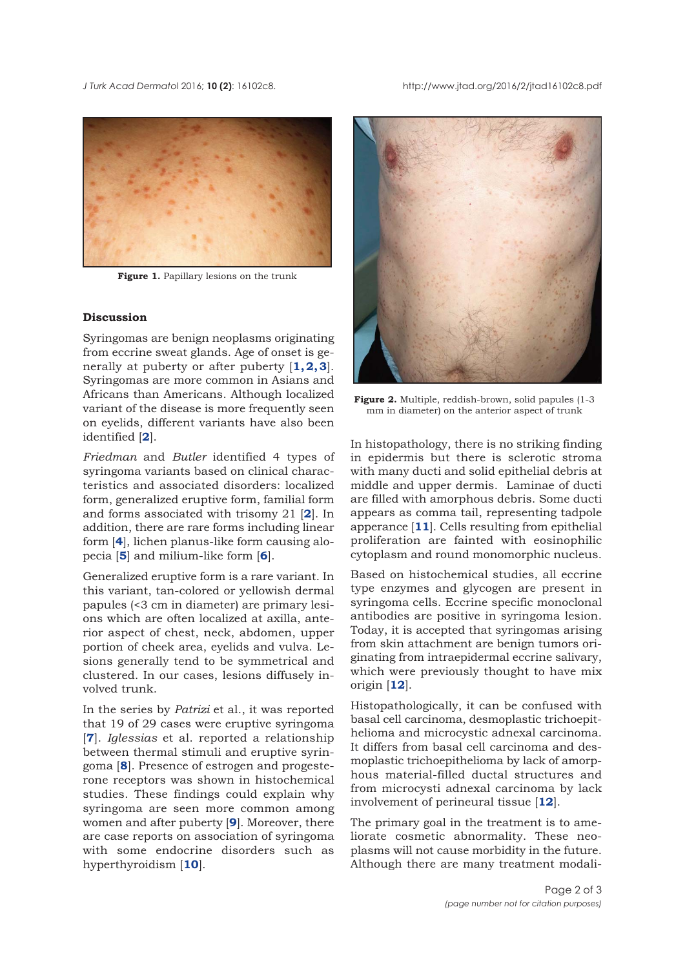<span id="page-1-0"></span>*J Turk Acad Dermato*l 2016; **10 (2)**: 16102c8. http://www.jtad.org/2016/2/jtad16102c8.pdf



**Figure 1.** Papillary lesions on the trunk

## **Discussion**

Syringomas are benign neoplasms originating from eccrine sweat glands. Age of onset is generally at puberty or after puberty [**[1,2, 3](#page-2-0)**]. Syringomas are more common in Asians and Africans than Americans. Although localized variant of the disease is more frequently seen on eyelids, different variants have also been identified [**[2](#page-2-0)**].

*Friedman* and *Butler* identified 4 types of syringoma variants based on clinical characteristics and associated disorders: localized form, generalized eruptive form, familial form and forms associated with trisomy 21 [**[2](#page-2-0)**]. In addition, there are rare forms including linear form [**[4](#page-2-0)**], lichen planus-like form causing alopecia [**[5](#page-2-0)**] and milium-like form [**[6](#page-2-0)**].

Generalized eruptive form is a rare variant. In this variant, tan-colored or yellowish dermal papules (<3 cm in diameter) are primary lesions which are often localized at axilla, anterior aspect of chest, neck, abdomen, upper portion of cheek area, eyelids and vulva. Lesions generally tend to be symmetrical and clustered. In our cases, lesions diffusely involved trunk.

In the series by *Patrizi* et al., it was reported that 19 of 29 cases were eruptive syringoma [**[7](#page-2-0)**]. *Iglessias* et al. reported a relationship between thermal stimuli and eruptive syringoma [**[8](#page-2-0)**]. Presence of estrogen and progesterone receptors was shown in histochemical studies. These findings could explain why syringoma are seen more common among women and after puberty [**[9](#page-2-0)**]. Moreover, there are case reports on association of syringoma with some endocrine disorders such as hyperthyroidism [**[10](#page-2-0)**].



**Figure 2.** Multiple, reddish-brown, solid papules (1-3 mm in diameter) on the anterior aspect of trunk

In histopathology, there is no striking finding in epidermis but there is sclerotic stroma with many ducti and solid epithelial debris at middle and upper dermis. Laminae of ducti are filled with amorphous debris. Some ducti appears as comma tail, representing tadpole apperance [**[11](#page-2-0)**]. Cells resulting from epithelial proliferation are fainted with eosinophilic cytoplasm and round monomorphic nucleus.

Based on histochemical studies, all eccrine type enzymes and glycogen are present in syringoma cells. Eccrine specific monoclonal antibodies are positive in syringoma lesion. Today, it is accepted that syringomas arising from skin attachment are benign tumors originating from intraepidermal eccrine salivary, which were previously thought to have mix origin [**[12](#page-2-0)**].

Histopathologically, it can be confused with basal cell carcinoma, desmoplastic trichoepithelioma and microcystic adnexal carcinoma. It differs from basal cell carcinoma and desmoplastic trichoepithelioma by lack of amorphous material-filled ductal structures and from microcysti adnexal carcinoma by lack involvement of perineural tissue [**[12](#page-2-0)**].

The primary goal in the treatment is to ameliorate cosmetic abnormality. These neoplasms will not cause morbidity in the future. Although there are many treatment modali